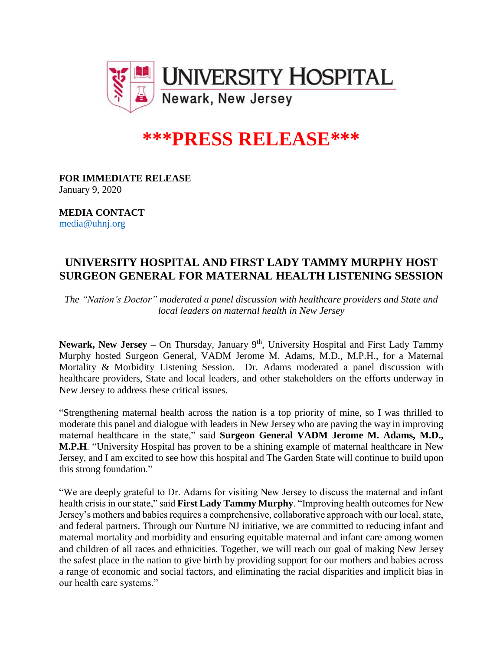

## **\*\*\*PRESS RELEASE\*\*\***

**FOR IMMEDIATE RELEASE** January 9, 2020

**MEDIA CONTACT** [media@uhnj.org](mailto:media@uhnj.org)

## **UNIVERSITY HOSPITAL AND FIRST LADY TAMMY MURPHY HOST SURGEON GENERAL FOR MATERNAL HEALTH LISTENING SESSION**

*The "Nation's Doctor" moderated a panel discussion with healthcare providers and State and local leaders on maternal health in New Jersey*

Newark, New Jersey – On Thursday, January 9<sup>th</sup>, University Hospital and First Lady Tammy Murphy hosted Surgeon General, VADM Jerome M. Adams, M.D., M.P.H., for a Maternal Mortality & Morbidity Listening Session. Dr. Adams moderated a panel discussion with healthcare providers, State and local leaders, and other stakeholders on the efforts underway in New Jersey to address these critical issues.

"Strengthening maternal health across the nation is a top priority of mine, so I was thrilled to moderate this panel and dialogue with leaders in New Jersey who are paving the way in improving maternal healthcare in the state," said **Surgeon General VADM Jerome M. Adams, M.D., M.P.H**. "University Hospital has proven to be a shining example of maternal healthcare in New Jersey, and I am excited to see how this hospital and The Garden State will continue to build upon this strong foundation."

"We are deeply grateful to Dr. Adams for visiting New Jersey to discuss the maternal and infant health crisis in our state," said **First Lady Tammy Murphy**. "Improving health outcomes for New Jersey's mothers and babies requires a comprehensive, collaborative approach with our local, state, and federal partners. Through our Nurture NJ initiative, we are committed to reducing infant and maternal mortality and morbidity and ensuring equitable maternal and infant care among women and children of all races and ethnicities. Together, we will reach our goal of making New Jersey the safest place in the nation to give birth by providing support for our mothers and babies across a range of economic and social factors, and eliminating the racial disparities and implicit bias in our health care systems."